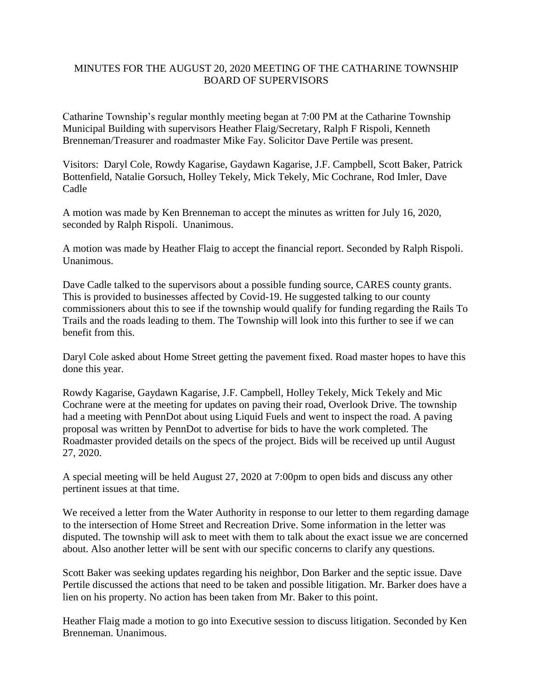## MINUTES FOR THE AUGUST 20, 2020 MEETING OF THE CATHARINE TOWNSHIP BOARD OF SUPERVISORS

Catharine Township's regular monthly meeting began at 7:00 PM at the Catharine Township Municipal Building with supervisors Heather Flaig/Secretary, Ralph F Rispoli, Kenneth Brenneman/Treasurer and roadmaster Mike Fay. Solicitor Dave Pertile was present.

Visitors: Daryl Cole, Rowdy Kagarise, Gaydawn Kagarise, J.F. Campbell, Scott Baker, Patrick Bottenfield, Natalie Gorsuch, Holley Tekely, Mick Tekely, Mic Cochrane, Rod Imler, Dave Cadle

A motion was made by Ken Brenneman to accept the minutes as written for July 16, 2020, seconded by Ralph Rispoli. Unanimous.

A motion was made by Heather Flaig to accept the financial report. Seconded by Ralph Rispoli. Unanimous.

Dave Cadle talked to the supervisors about a possible funding source, CARES county grants. This is provided to businesses affected by Covid-19. He suggested talking to our county commissioners about this to see if the township would qualify for funding regarding the Rails To Trails and the roads leading to them. The Township will look into this further to see if we can benefit from this.

Daryl Cole asked about Home Street getting the pavement fixed. Road master hopes to have this done this year.

Rowdy Kagarise, Gaydawn Kagarise, J.F. Campbell, Holley Tekely, Mick Tekely and Mic Cochrane were at the meeting for updates on paving their road, Overlook Drive. The township had a meeting with PennDot about using Liquid Fuels and went to inspect the road. A paving proposal was written by PennDot to advertise for bids to have the work completed. The Roadmaster provided details on the specs of the project. Bids will be received up until August 27, 2020.

A special meeting will be held August 27, 2020 at 7:00pm to open bids and discuss any other pertinent issues at that time.

We received a letter from the Water Authority in response to our letter to them regarding damage to the intersection of Home Street and Recreation Drive. Some information in the letter was disputed. The township will ask to meet with them to talk about the exact issue we are concerned about. Also another letter will be sent with our specific concerns to clarify any questions.

Scott Baker was seeking updates regarding his neighbor, Don Barker and the septic issue. Dave Pertile discussed the actions that need to be taken and possible litigation. Mr. Barker does have a lien on his property. No action has been taken from Mr. Baker to this point.

Heather Flaig made a motion to go into Executive session to discuss litigation. Seconded by Ken Brenneman. Unanimous.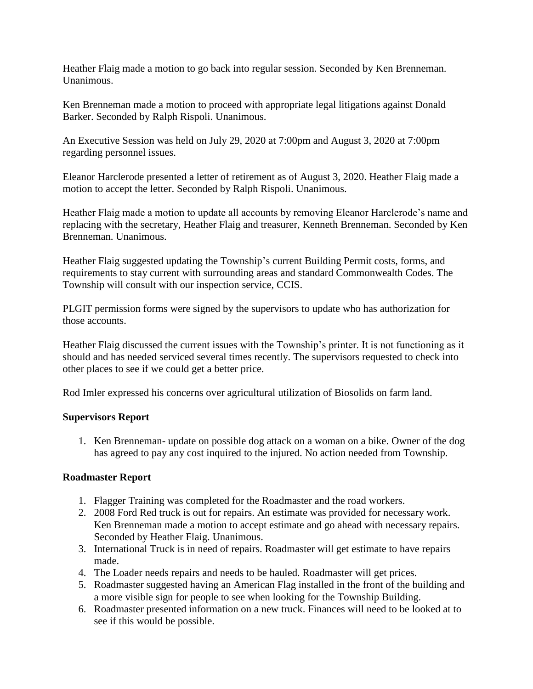Heather Flaig made a motion to go back into regular session. Seconded by Ken Brenneman. Unanimous.

Ken Brenneman made a motion to proceed with appropriate legal litigations against Donald Barker. Seconded by Ralph Rispoli. Unanimous.

An Executive Session was held on July 29, 2020 at 7:00pm and August 3, 2020 at 7:00pm regarding personnel issues.

Eleanor Harclerode presented a letter of retirement as of August 3, 2020. Heather Flaig made a motion to accept the letter. Seconded by Ralph Rispoli. Unanimous.

Heather Flaig made a motion to update all accounts by removing Eleanor Harclerode's name and replacing with the secretary, Heather Flaig and treasurer, Kenneth Brenneman. Seconded by Ken Brenneman. Unanimous.

Heather Flaig suggested updating the Township's current Building Permit costs, forms, and requirements to stay current with surrounding areas and standard Commonwealth Codes. The Township will consult with our inspection service, CCIS.

PLGIT permission forms were signed by the supervisors to update who has authorization for those accounts.

Heather Flaig discussed the current issues with the Township's printer. It is not functioning as it should and has needed serviced several times recently. The supervisors requested to check into other places to see if we could get a better price.

Rod Imler expressed his concerns over agricultural utilization of Biosolids on farm land.

## **Supervisors Report**

1. Ken Brenneman- update on possible dog attack on a woman on a bike. Owner of the dog has agreed to pay any cost inquired to the injured. No action needed from Township.

## **Roadmaster Report**

- 1. Flagger Training was completed for the Roadmaster and the road workers.
- 2. 2008 Ford Red truck is out for repairs. An estimate was provided for necessary work. Ken Brenneman made a motion to accept estimate and go ahead with necessary repairs. Seconded by Heather Flaig. Unanimous.
- 3. International Truck is in need of repairs. Roadmaster will get estimate to have repairs made.
- 4. The Loader needs repairs and needs to be hauled. Roadmaster will get prices.
- 5. Roadmaster suggested having an American Flag installed in the front of the building and a more visible sign for people to see when looking for the Township Building.
- 6. Roadmaster presented information on a new truck. Finances will need to be looked at to see if this would be possible.